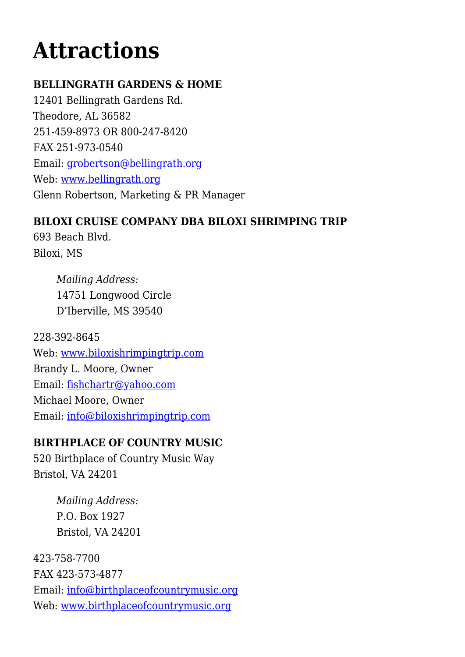# **[Attractions](https://www.alabamamotorcoach.org/attractions/)**

# **BELLINGRATH GARDENS & HOME**

12401 Bellingrath Gardens Rd. Theodore, AL 36582 251-459-8973 OR 800-247-8420 FAX 251-973-0540 Email: [grobertson@bellingrath.org](mailto:grobertson@bellingrath.org) Web: [www.bellingrath.org](http://www.bellingrath.org) Glenn Robertson, Marketing & PR Manager

# **BILOXI CRUISE COMPANY DBA BILOXI SHRIMPING TRIP**

693 Beach Blvd. Biloxi, MS

> *Mailing Address:* 14751 Longwood Circle D'Iberville, MS 39540

228-392-8645 Web: [www.biloxishrimpingtrip.com](http://www.biloxishrimpingtrip.com) Brandy L. Moore, Owner Email: [fishchartr@yahoo.com](mailto:fishchartr@yahoo.com) Michael Moore, Owner Email: [info@biloxishrimpingtrip.com](mailto:info@biloxishrimpingtrip.com)

# **BIRTHPLACE OF COUNTRY MUSIC**

520 Birthplace of Country Music Way Bristol, VA 24201

> *Mailing Address:* P.O. Box 1927 Bristol, VA 24201

423-758-7700 FAX 423-573-4877 Email: [info@birthplaceofcountrymusic.org](mailto:info@birthplaceofcountrymusic.org) Web: [www.birthplaceofcountrymusic.org](http://www.birthplaceofcountrymusic.org)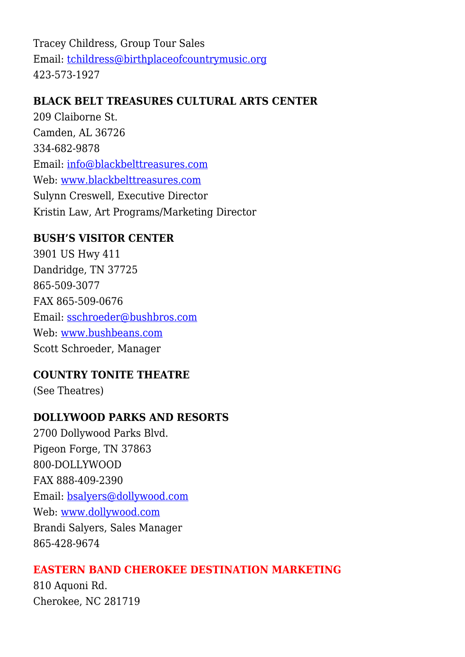Tracey Childress, Group Tour Sales Email: [tchildress@birthplaceofcountrymusic.org](mailto:tchildress@birthplaceofcountrymusic.org) 423-573-1927

## **BLACK BELT TREASURES CULTURAL ARTS CENTER**

209 Claiborne St. Camden, AL 36726 334-682-9878 Email: [info@blackbelttreasures.com](mailto:info@blackbelttreasures.com) Web: [www.blackbelttreasures.com](http://www.blackbelttreasures.com) Sulynn Creswell, Executive Director Kristin Law, Art Programs/Marketing Director

# **BUSH'S VISITOR CENTER**

3901 US Hwy 411 Dandridge, TN 37725 865-509-3077 FAX 865-509-0676 Email: [sschroeder@bushbros.com](mailto:sschroeder@bushbros.com) Web: [www.bushbeans.com](http://www.bushbeans.com) Scott Schroeder, Manager

## **COUNTRY TONITE THEATRE**

(See Theatres)

# **DOLLYWOOD PARKS AND RESORTS**

2700 Dollywood Parks Blvd. Pigeon Forge, TN 37863 800-DOLLYWOOD FAX 888-409-2390 Email: [bsalyers@dollywood.com](mailto:bsalyers@dollywood.com) Web: [www.dollywood.com](http://www.dollywood.com/) Brandi Salyers, Sales Manager 865-428-9674

## **EASTERN BAND CHEROKEE DESTINATION MARKETING**

810 Aquoni Rd. Cherokee, NC 281719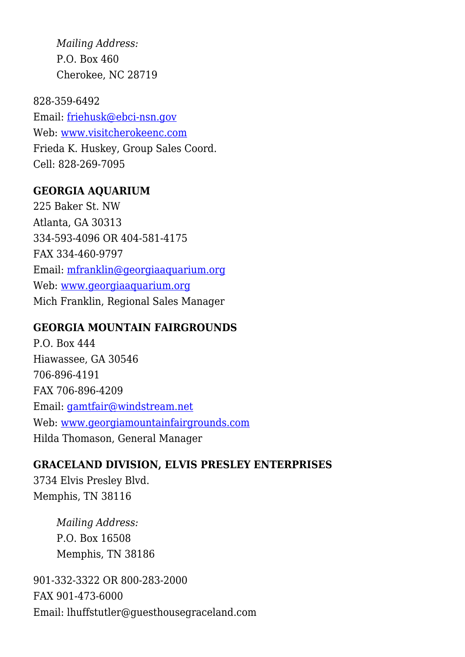*Mailing Address:* P.O. Box 460 Cherokee, NC 28719

828-359-6492 Email: [friehusk@ebci-nsn.gov](mailto:friehusk@ebci-nsn.gov) Web: [www.visitcherokeenc.com](http://www.visitcherokeenc.com) Frieda K. Huskey, Group Sales Coord. Cell: 828-269-7095

#### **GEORGIA AQUARIUM**

225 Baker St. NW Atlanta, GA 30313 334-593-4096 OR 404-581-4175 FAX 334-460-9797 Email: [mfranklin@georgiaaquarium.org](mailto:mfranklin@georgiaaquarium.org) Web: [www.georgiaaquarium.org](http://www.georgiaaquarium.org/) Mich Franklin, Regional Sales Manager

#### **GEORGIA MOUNTAIN FAIRGROUNDS**

P.O. Box 444 Hiawassee, GA 30546 706-896-4191 FAX 706-896-4209 Email: [gamtfair@windstream.net](mailto:gamtfair@windstream.net) Web: [www.georgiamountainfairgrounds.com](http://www.georgiamountainfairgrounds.com) Hilda Thomason, General Manager

## **GRACELAND DIVISION, ELVIS PRESLEY ENTERPRISES**

3734 Elvis Presley Blvd. Memphis, TN 38116

> *Mailing Address:* P.O. Box 16508 Memphis, TN 38186

901-332-3322 OR 800-283-2000 FAX 901-473-6000 Email: lhuffstutler@guesthousegraceland.com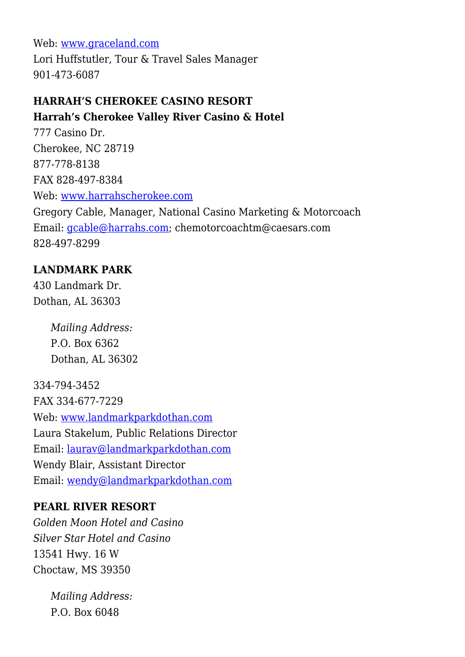Web: [www.graceland.com](http://www.graceland.com/)

Lori Huffstutler, Tour & Travel Sales Manager 901-473-6087

## **HARRAH'S CHEROKEE CASINO RESORT Harrah's Cherokee Valley River Casino & Hotel**

777 Casino Dr. Cherokee, NC 28719 877-778-8138 FAX 828-497-8384 Web: [www.harrahscherokee.com](http://www.harrahscherokee.com) Gregory Cable, Manager, National Casino Marketing & Motorcoach Email: [gcable@harrahs.com](mailto:gcable@harrahs.com); chemotorcoachtm@caesars.com 828-497-8299

# **LANDMARK PARK**

430 Landmark Dr. Dothan, AL 36303

> *Mailing Address:* P.O. Box 6362 Dothan, AL 36302

334-794-3452 FAX 334-677-7229 Web: [www.landmarkparkdothan.com](http://www.landmarkparkdothan.com) Laura Stakelum, Public Relations Director Email: [laurav@landmarkparkdothan.com](mailto:laurav@landmarkparkdothan.com) Wendy Blair, Assistant Director Email: [wendy@landmarkparkdothan.com](mailto:wendy@landmarkparkdothan.com)

## **PEARL RIVER RESORT**

*Golden Moon Hotel and Casino Silver Star Hotel and Casino* 13541 Hwy. 16 W Choctaw, MS 39350

> *Mailing Address:* P.O. Box 6048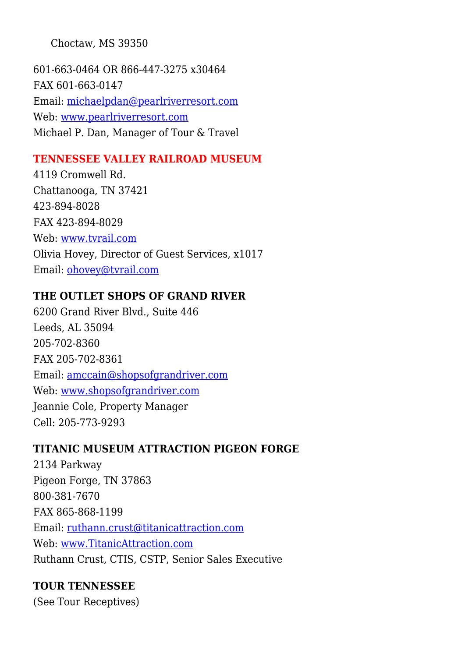Choctaw, MS 39350

601-663-0464 OR 866-447-3275 x30464 FAX 601-663-0147 Email: [michaelpdan@pearlriverresort.com](mailto:michaelpdan@pearlriverresort.com) Web: [www.pearlriverresort.com](http://www.pearlriverresort.com) Michael P. Dan, Manager of Tour & Travel

# **TENNESSEE VALLEY RAILROAD MUSEUM**

4119 Cromwell Rd. Chattanooga, TN 37421 423-894-8028 FAX 423-894-8029 Web: [www.tvrail.com](http://www.tvrail.com) Olivia Hovey, Director of Guest Services, x1017 Email: [ohovey@tvrail.com](mailto:ohovey@tvrail.com)

# **THE OUTLET SHOPS OF GRAND RIVER**

6200 Grand River Blvd., Suite 446 Leeds, AL 35094 205-702-8360 FAX 205-702-8361 Email: [amccain@shopsofgrandriver.com](mailto:amccain@shopsofgrandriver.com) Web: [www.shopsofgrandriver.com](http://www.shopsofgrandriver.com) Jeannie Cole, Property Manager Cell: 205-773-9293

# **TITANIC MUSEUM ATTRACTION PIGEON FORGE**

2134 Parkway Pigeon Forge, TN 37863 800-381-7670 FAX 865-868-1199 Email: [ruthann.crust@titanicattraction.com](mailto:ruthann.crust@titanicattraction.com) Web: [www.TitanicAttraction.com](http://www.titanicattraction.com) Ruthann Crust, CTIS, CSTP, Senior Sales Executive

# **TOUR TENNESSEE**

(See Tour Receptives)